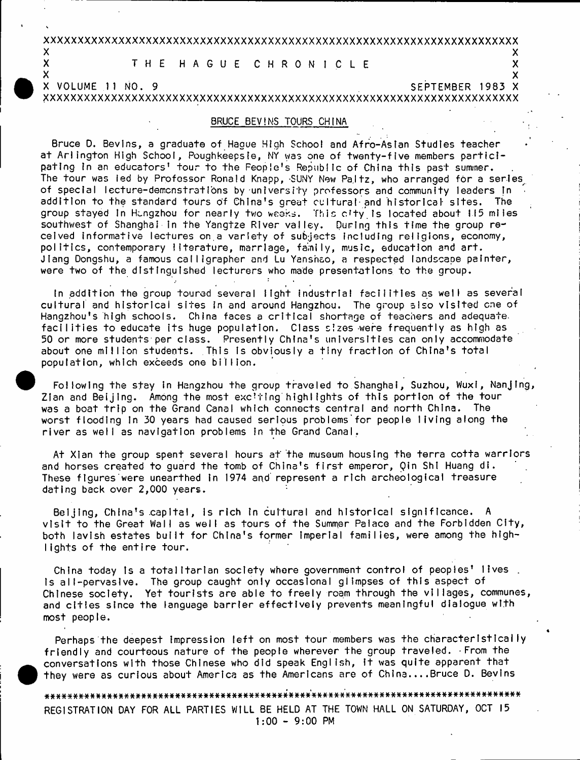## xxxxxxxxxxxxxxxxxxxxxxxxxxxxxxxxxxxxxxxxxxxxxxxxxxxxxxxxxxxxxxxxxxxxxx  $\mathsf{x}$  x  $\mathsf{y}$

# X T H E H A G U E C H R O N I C L E X X X X

 $\mathsf{x}$  x  $\mathsf{y}$ X VOLUME 11 NO. 9 SEPTEMBER 1983 X

XXXXXXXXXXXXXXXXXXXXXXXXXXXXXXXXXXXXXXXXXXXXXXXXXXXXXXXXXXXXXXXXXXXXXX

#### BRUCE BEVINS TOURS CHINA

Bruce D. Bevins, a graduate of Hague High School and Afro-Asian Studies teacher at Arlington High School, Poughkeepsie, NY was one of twenty-five members participating in an educators' tour to the Feople's Republic of China this past summer. The tour was led by Professor Ronald Knapp, SUNY New Paltz, who arranged for a series of special lecture-demonstrations by university professors and community leaders in addition to the standard tours of China's great cultural-and historical sites. The group stayed In Hungzhou for nearly two weeks. This city is located about 115 miles southwest of Shanghai in the Yangtze River valley. During this time the group received informative lectures on a variety of subjects including religions, economy, politics, contemporary literature, marriage, family, music, education and art Jiang Dongshu, a famous calligrapher and Lu Yansnao, a respected landscape painter, were two of the distinguished lecturers who made presentations to the group.

In addition the group toured several light industrial facilities as well as several cultural and historical sites in and around Hangzhou. The group also visited cne of Hangzhou's high schools. China faces a critical shortage of teachers and adequate. facilities to educate its huge population. Class sizes were frequently as high as 50 or more students per class. Presently China's universities can only accommodate about one million students. This is obviously a tiny fraction of China's total population, which exceeds one billion.

Following the stay in Hangzhou the group traveled to Shanghai, Suzhou, Wuxi, Nanjing, Zlan and Beijing. Among the most exciting highlights of this portion of the tour was a boat trip on the Grand Canal which connects central and north China. The worst flooding in 30 years had caused serious problems for people living along the river as well as navigation problems in the Grand Canal.

At Xian the group spent several hours at the museum housing the terra cotta warriors and horses created to guard the tomb of China's first emperor, Qin Shi Huang di. These figures were unearthed in 1974 and represent a rich archeological treasure dating back over 2,000 years.

Beijing, China's capital, is rich in cultural and historical significance. A visit to the Great Wall as well as tours of the Summer Palace and the Forbidden City, both lavish estates built for China's former imperial families, were among the highlights of the entire tour.

China today is a totalitarian society where government control of peoples' lives. is all-pervasive. The group caught only occasional glimpses of this aspect of Chinese society. Yet tourists are able to freely roam through the villages, communes, and cities since the language barrier effectively prevents meaningful dialogue with most people.

Perhaps the deepest Impression left on most tour members was the characteristically friendly and courteous nature of the people wherever the group traveled. From the conversations with those Chinese who did speak English, it was quite apparent that they were as curious about America as the Americans are of China....Bruce D. Bevins

a###\*####\*#####\*\*##\*####\*\*#\*#########\*\*\*#\*###\*#'\*\*\*\*\*#'# \*\*\*\*# # \*# # \*# \*\*\*# \*# \*\*\*\*\*# \*# \*# # # \* REGISTRATION DAY FOR ALL PARTIES WILL BE HELD AT THE TOWN HALL ON SATURDAY, OCT 15  $1:00 - 9:00$  PM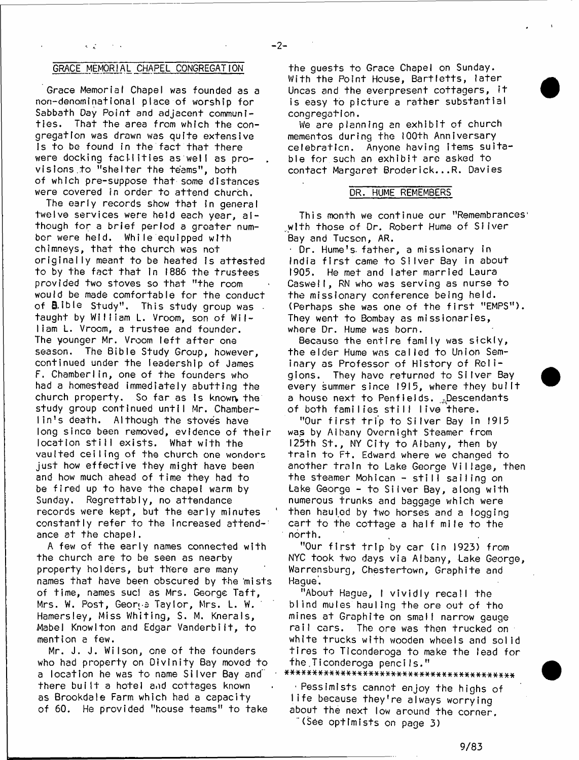#### GRACE MEMORIAL CHAPEL CONGREGATION

 $\sim 10^6$ 

Grace Memorial Chapel was founded as a non-denominationaI place of worship for Sabbath Day Point and adjacent communi-<br>ties. That the area from which the con That the area from which the congregation was drawn was quite extensive Is to be found in the fact that there were docking facilities as well as provisions to "shelter the teams", both of which pre-suppose that some distances were covered in order to attend church.

The early records show that in general twelve services were held each year, although for a brief period a greater number were held. While equipped with chimneys, that the church was not originally meant to be heated is attested to by the fact that in 1886 the trustees provided two stoves so that "the room would be made comfortable for the conduct of **B**,ible Study". This study group was taught by William L. Vroom, son of William L. Vroom, a trustee and founder. The younger Mr. Vroom left after one season. The Bible Study Group, however, continued under the leadership of James F. Chamberlin, one of the founders who had a homestead immediately abutting the church property. So far as is known the study group continued until Mr. Chamberlin's death. Although the stoves have long since been removed, evidence of their location still exists. What with the vaulted ceiling of the church one wonders just how effective they might have been and how much ahead of time they had to be fired up to have the chapel warm by Sunday. Regrettably, no attendance records were kept, but the early minutes constantly refer to the increased attendance at the chapel.

A few of the early names connected with the church are to be seen as nearby property holders, but there are many names that have been obscured by the mists of time, names sucl as Mrs. George Taft, Mrs. W. Post, George Taylor, Mrs. L. W. Hamersley, Miss Whiting, S. M. Knerals, Mabel Knowlton and Edgar Vanderbilt, to mention a few.

Mr. J. J. Wilson, one of the founders who had property on Divinity Bay moved to a location he was to name Silver Bay and there built a hotel and cottages known as Brookdale Farm which had a capacity of 60. He provided "house teams" to take

the guests to Grace Chapel on Sunday. With the Point House, Bartletts, later Uncas and the everpresent cottagers,  $it$ is easy to picture a rather substantial congregafion.

We are planning an exhibit of church mementos during the 100th Anniversary celebraticn. Anyone having items suitable for such an exhibit are asked to contact Margaret Broderick...R. Davies

#### DR. HUME REMEMBERS

This month we continue our "Remembrances' with those of Dr. Robert Hume of Silver Bay and Tucson, AR.

 $\pm$  Dr. Hume's father, a missionary in India first came to Silver Bay in about 1905. He met and later married Laura Caswell, RN who was serving as nurse to the missionary conference being held. (Perhaps she was one of the first "EMPS"). They went to Bombay as missionaries, where Dr. Hume was born.

Because the entire family was sickly, the elder Hume was called to Union Seminary as Professor of History of Religions. They have returned to Silver Bay every summer since 1915, where they built a house next to Penfields. "Descendants of both families still live there.

"Our first trip to Silver Bay in 1915 was by Albany Overnight Steamer from 125th St., NY City to Albany, then by train to Ft. Edward where we changed to another train to Lake George Village, then the steamer Mohican - still sailing on Lake George - to Silver Bay, along with numerous trunks and baggage which were then hauled by two horses and a fogging cart to the cottage a half mile to the north.

"Our first trip by car (in 1923) from NYC took two days via Albany, Lake George, Warrensburg, Chestertown, Graphite and Hague'.

"About Hague, I vividly recall the blind mules hauling the ore out of the mines at Graphite on small narrow gauge rail cars. The ore was then trucked on white trucks with wooden wheels and solid tires to Ticonderoga to make the lead for the.Ticonderoga pencils."

■ Pessimists cannot enjoy the highs of life because they're always worrying about the next low around the corner. (See optimists on page 3)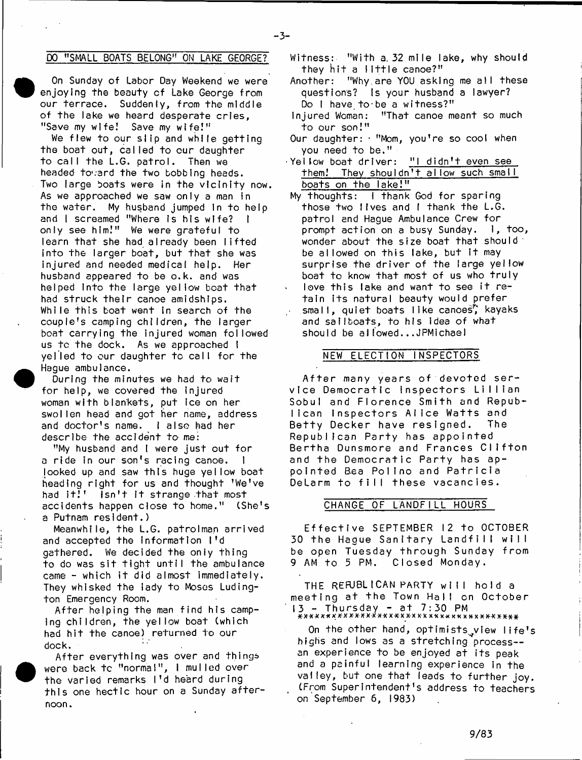## DQ "SMALL BOATS BELONG1' ON LAKE GEORGE?

- 3-

On Sunday of Labor Day Weekend we were enjoying the beauty of Lake George from our terrace. Suddenly, from the middle of the lake we heard desperate cries. "Save my wife! Save my wife!"

We flew to our slip and while getting the boat out, called to our daughter to call the L.G. patrol. Then we headed toward the two bobbing heads. Two large boats were in the vicinity now. As we approached we saw only a man in the water. My husband jumped in to help and I screamed "Where is his wife? I only see him!" We were grateful to learn that she had already been lifted into the larger boat, but that she was injured and needed medical help. Her husband appeared to be o.k. and was helped into the large yellow boat that had struck their canoe amidships. While this boat went in search of the couple's camping children, the larger boat carrying the injured woman followed us to the dock. As we approached I yelled to our daughter to call for the Hague ambulance.

During the minutes we had to wait for help, we covered the injured woman with blankets, put ice on her swollen head and got her name, address and doctor's name. I also had her describe the accident to me:

**•** 

**e** 

"My husband and I were just out for a ride in our son's racing canoe. I looked up and saw this huge yellow boat heading right for us and thought 'We've<br>had it!' Isn't it strange that most isn't it strange that most accidents happen close to home." (She's a Putnam resident.)

Meanwhile, the L.G. patrolman arrived and accepted the information I'd gathered. We decided the only thing to do was sit tight until the ambulance came - which it did almost immediately. They whisked the lady to Moses Ludington Emergency Room.

After helping the man find his camping children, the yellow boat (which had hit the canoe) returned to our dock.

After everything was over and things were back to "normal", I mulled over the varied remarks I'd heard during this one hectic hour on a Sunday afternoon .

- Witness: "With a 32 mile lake, why should they hit a little canoe?"
- Another: "Why are YOU asking me all these questions? Is your husband a lawyer? Do I have to be a witness?"
- Injured Woman: "That canoe meant so much to our son!"
- Our daughter: · "Mom, you're so cool when you need to be."
- Yellow boat driver: "I didn't even see them! They shouldn't allow such small boats on the lake!"
- My thoughts:  $\frac{1}{1}$  thank God for sparing those two lives and I thank the L.G. patrol and Haque Ambulance Crew for prompt action on a busy Sunday.  $\,$  l, too, wonder about the size boat that should be allowed on this lake, but it may surprise the driver of the large yellow boat to know that most of us who truly love this lake and want to see it retain its natural beauty would prefer small, quiet boats like canoes", kayaks and sailboats, to his idea of what should be allowed...JPMichael

#### NEW ELECTION INSPECTORS

After many years of devoted service Democratic inspectors Lillian Sobul and Florence Smith and Republican Inspectors Alice Watts and<br>Betty Decker have resigned. The Betty Decker have resigned. Republican Party has appointed Bertha Dunsmore and Frances Clifton and the Democratic Party has appointed Bea Polino and Patricia DeLarm to fill these vacancies.

#### CHANGE OF LANDFILL HOURS

Effective SEPTEMBER 12 to OCTOBER 30 the Hague Sanitary Landfill will be open Tuesday through Sunday from 9 AM to 5 PM. Closed Monday.

THE REFUBLICAN PARTY will hold a meeting at the Town Hall on October 13 - T h u rs d a y - a t 7 : 3 0 PM \* X \* X X \* X \* X X X - X X X \* X X X X X-X X X X X X \* X X X X X X \* \* X \* \* #

On the other hand, optimists yiew life's highs and lows as a stretching process-an experience to be enjoyed at its peak and a painful learning experience in the valley, but one that leads to further joy. (From Superintendent's address to teachers on September 6, 1983)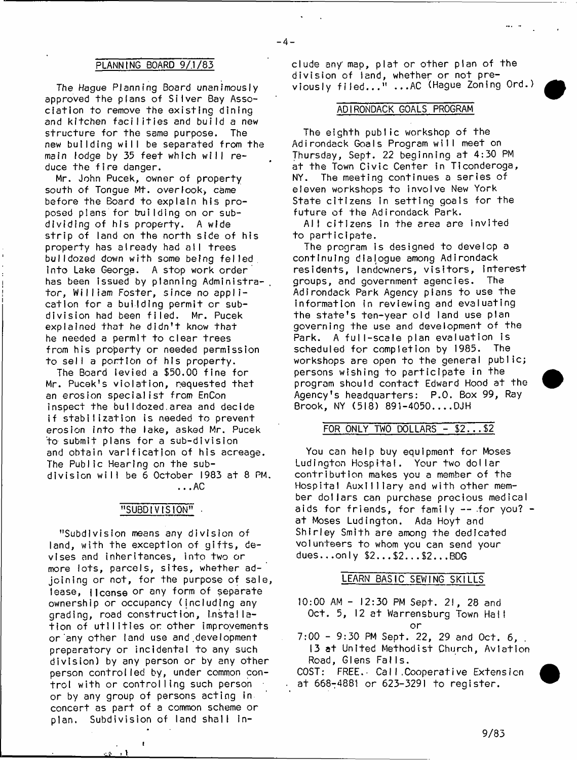#### PLANNING BOARD 9/.1/83

The Hague Planning Board unanimously approved the plans of Silver Bay Association to remove the existing dining and kitchen facilities and build a new structure for the same purpose. The new building will be separated from the main lodge by 35 feet which will reduce the fire danger.

Mr. John Pucek, owner of property south of Tonque Mt. overlook, came before the Board to explain his proposed plans for building on or subdividing of his property. A wide strip of land on the north side of his property has already had all trees bulldozed down with some being felled, into Lake George. A stop work order has been issued by planning Administrator, William Foster, since no application for a building permit or subdivision had been filed. Mr. Pucek explained that he didn't know that he needed a permit to clear trees from his property or needed permission to sell a portion of his property.

The Board levied a \$50.00 fine for Mr. Pucek's violation, requested that an erosion specialist from EnCon inspect the buI I dozed,area and decide if stabilization is needed to prevent erosion into the lake, asked Mr. Pucek to submit plans for a sub-division and obtain varification of his acreage. The Public Hearing on the subdivision will be 6 October 1983 at 8 PM.

...AC

#### "SUBDIVISION" •

"Subdivision means any division of land, with the exception of gifts, devises and inheritances, into two or more lots, parcels, sites, whether adjoining or not, for the purpose of sale, lease, license or any form of separate ownership or occupancy (including any grading, road construction, I.nstal lation of utilities or other improvements or any other land use and development preparatory or incidental to any such division) by any person or by any other person controlled by, under common control with or controlling such person or by any group of persons acting in concert as part of a common scheme or plan. Subdivision of land shall in-

 $\mathbf{r}$ 

clude any map, plat or other plan of the division of land, whether or not previously filed..." ...AC (Hague Zoning Ord.)

 $-4-$ 

#### ADIRONDACK GOALS PROGRAM

The eighth public workshop of the Adirondack Goals Program will meet on Thursday, Sept. 22 beginning at 4:30 PM at the Town Civic Center in Ticonderoga, NY. The meeting continues a series of eleven workshops to involve New York State citizens in setting goals for the future of the Adirondack Park.

All citizens in the area are invited to participate.

The program is designed to develop a continuing dialogue among Adirondack residents, landowners, visitors, interest groups, and government agencies. The Adirondack Park Agency plans to use the information in reviewing and evaluating the state's ten-year old land use plan governing the use and development of the Park. A full-scale plan evaluation is scheduled for completion by 1985. The workshops are open to the general public; persons wishing to participate in the program should contact Edward Hood at the Agency's headquarters: P.O. Box 99, Ray  $B$ rook, NY (518) 891-4050....DJH

## FOR ONLY TWO DOLLARS - \$2...\$2

You can help buy equipment for Moses Ludington Hospital. Your two dollar contribution makes you a member of the Hospital Auxilliary and with other member dollars can purchase precious medical aids for friends, for family  $-$  for you?  $$ at Moses Ludington. Ada Hoyt and Shirley Smith are among the dedicated volunteers to whom you can send your dues...only  $$2...$2...$2...$2...$ 

## LEARN BASIC SEWING SKILLS

10:00 AM - 12:30 PM Sept. 21, 28 and Oct. 5, 12 at Warrensburg Town Hall o r

7:00 - 9:30 PM Sept. 22, 29 and Oct. 6, 13 at United Methodist Church, Aviation Road, Glens FalIs.

COST: FREE. Call. Cooperative Extension at 668-4881 or 623-3291 to register.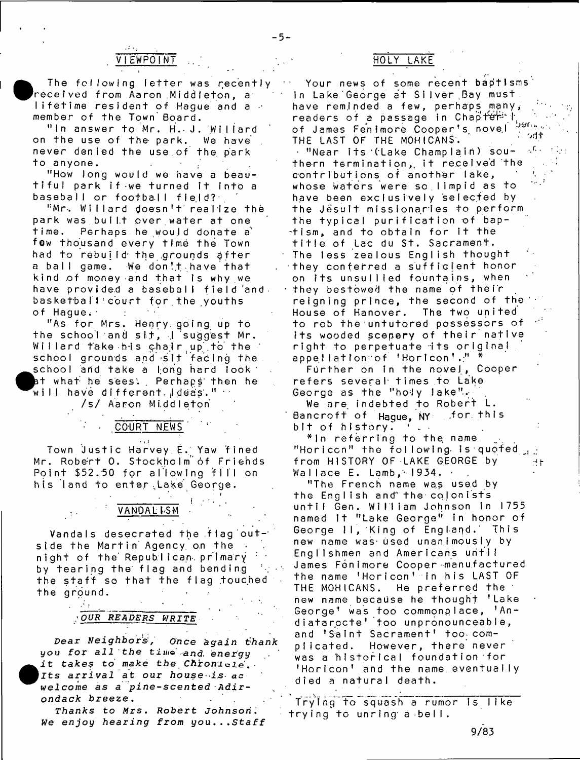## VIEWPOINT

• The following letter was recently received from Aaron Middleton, a lifetime resident of Hague and a member of the Town Board.

" In answer to Mr. H. J. Willard<br>the use of the park. We have on the use of the park. never denied the use.of the park to anyone.

"How long would we have a beautiful park if we turned it into a baseball or football field?

"Mr. Willard doesn't realize the park was built over water at one time. Perhaps he would donate a few thousand every time the Town had to rebuild- the .grounds after a ball game. We don!t have that kind of money and that is why we have provided a baseball field and. basketball court for the youths of Hague.

"As for Mrs. Henry going up to the school and sit, I suggest Mr. Willard take his chair up to the school grounds and sit facing the school and take a long hard look at what he sees. . Perhaps then he will have different  $\frac{1}{2}$  deas. "  $\cdot$ 

*1st* A a ro n M i.dd I eton

COURT NEWS

.<br>Town Justic Harvey E. Yaw fined Mr. Robert O. Stockholm of Friehds Point \$52.50 for allowing fill on his land to enter Lake George.

*I*

#### $\frac{1}{\sqrt{2}}$  in  $\frac{1}{\sqrt{2}}$ VANDAL<sub>ISM</sub>

Vandals desecrated the flag outside the Martin Agency on the night of the Republican primary by tearing the flag and bending the staff so that the flag touched the ground.

## *OUR READERS WRITE*

**Pear** *Neighbor*s:, *Ohce* a *ga*i *n fhank* you for all the time and energy **•** it *takes to make the Chronicie. Its arrival at* **our** *house- is- ac w e l c o m e as a p i n e - s c e n t e d A d i r ondack breeze* **.**

*Thanks to M r s* **. R o b e r t J o h n s o n ;** *We enjoy hearing from you...Staff*

## HOLY LAKE

Your news of some recent baptisms in Lake George at Silver Bay must have reminded a few, perhaps many, readers of a passage in Chapter<sup>1</sup> of James Fenimore Cooper's novel Jahrs

THE LAST OF THE MOHICANS. '' '' '' '' - "Near its (Lake Champlain) southern termination, it received the contributions of another lake, whose waters were so limpid as to have been exclusively selected by the Jesuit missionaries to perform the typical purification of baptism, and to obtain for it the title of Lac du St. Sacrament. The less zealous English thought they conferred a sufficient honor on its unsullied fountains, when they bestowed the name of their reigning prince, the second of the House of Hanover. The two united to rob the untutored possessors of its wooded scepery of their native right to perpetuate its original appellation of fHoricon'." \*

Further on in the novel, Cooper refers several times to Lake George as the "holy lake".

We are indebted to Robert L. Bancroft of Hague, NY ... for this bit of history.

\*ln referring to the, name "Horicon" the following is quoted  $\mathcal{A}$ from HISTORY OF LAKE GEORGE by  $A$  t Wallace E. Lamb, 1934. ·

"The French name was used by the English and" the- colonists until Gen. William Johnson in 1755 named It "Lake George" in honor of George II, King of England. This new name was used unanimously by Englishmen and Americans until James Fenimore Cooper-manufactured the name 'Horicon' in his LAST OF THE MOHICANS. He preferred the new name because he thought 'Lake George' was too commonplace, 'Andiatarocte' too unpronounceable, and 'Saint Sacrament' too complicated. However, there never was a historical foundation for 'Horicon' and the name eventually died a natural death.

Trying to squash a rumor is like trying to unring a bell.

9/83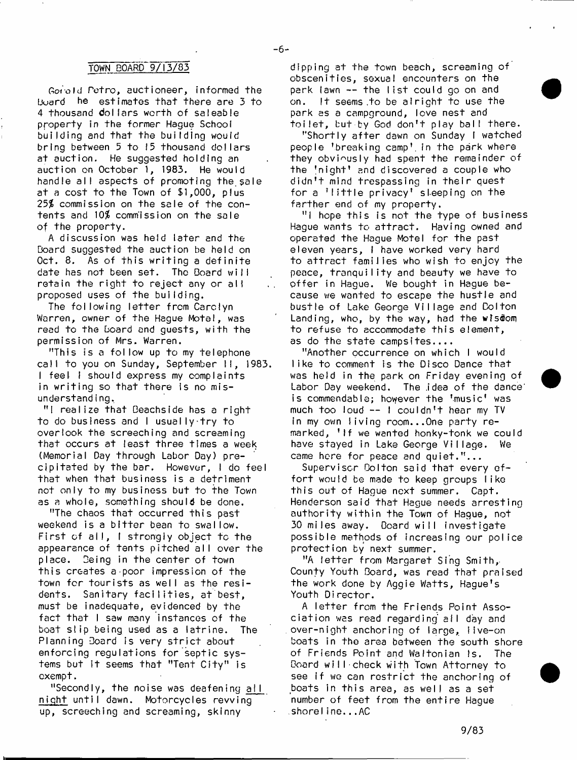### TOWN BOARD 9/13/83

Gotold Petro, auctioneer, informed the  **he estimates that there are**  $\overline{3}$  **to** 4 thousand dollars worth of saleable property in the former Hague School building and that the building would bring between 5 to 15 thousand dollars at auction. He suggested holding an auction on October 1, 1983. He would handle all aspects of promoting the sale at a cost to the Town of \$1,000, plus 25\$ commission on the sale of the contents and  $10\%$  commission on the sale of the property.

A discussion was held later and the Board suggested the auction be held on Oct. 8. As of this writing a definite date has not been set. The Board will retain the right to reject any or all proposed uses of the building.

The following letter from Carolyn Warren, owner of the Hague Motel, was read to the Board and guests, with the permission of Mrs. Warren.

"This is a follow up to my telephone call to you on Sunday, September II, 1983. I feel I should express my complaints in writing so that there is no misunderstanding.

"I realize that Beachside has a right to do business and I usually try to overlook the screeching and screaming that occurs at least three times a week (Memorial Day through Labor Day) precipitated by the bar. However,  $\vdash$  do feel that when that business is a detriment not only to my business but to the Town as a whole, something should be done.

"The chaos that occurred this past weekend is a bitter bean to swallow. First of all, I strongly object to the appearance of tents pitched a ll over the place. Being in the center of town this creates a-poor impression of the town for tourists as well as the residents. Sanitary facilities, at best, must be inadequate, evidenced by the fact that I saw many instances of the boat slip being used as a latrine. The Planning Board is very strict about enforcing regulations for septic systems but it seems that "Tent City" is exempt.

"Secondly, the noise was deafening  $all$ night until dawn. Motorcycles revving up, screeching and screaming, skinny

dipping at the town beach, screaming of obscenities, sexual encounters on the park lawn -- the list could go on and on. It seems to be alright to use the park as a campground, love nest and toilet, but by God don't play ball there.

"Shortly after dawn on Sunday I watched people 'breaking camp1, in the park where they obviously had spent the remainder of the  $'$ night' and discovered a couple who didn't mind trespassing in their quest for a  $?$ little privacy' sleeping on the farther end of my property.

"I hope this is not the type of business Hague wants to attract. Having owned and operated the Hague Motel for the past eleven years, I have worked very hard to attract families who wish to enjoy the peace, tranquility and beauty we have to offer in Hague. We bought in Hague because we wanted to escape the hustle and b ustle of Lake George Village and Dolton Landing, who, by the way, had the wisdom to refuse to accommodate this element, as do the state campsites....

"Another occurrence on which I would like to comment is the Disco Dance that was held in the park on Friday evening of Labor Day weekend. The idea of the dance is commendable; however the 'music' was much too loud -- I couldn't hear my TV in my own living room...One party remarked, 'If we wanted honky-tonk we could have stayed in Lake George Village. We came here for peace and quiet."...

Supervisor Bolton said that every effort would be made to keep groups like this out of Hague next summer. Capt. Henderson said that Hague needs arresting authority within the Town of Hague, not 30 miles away. Board will investigate possible methods of increasing our police protection by next summer.

"A letter from Margaret Sing Smith, County Youth Board, was read that praised the work done by Aggie Watts, Hague's Youth Director.

A letter from the Friends Point Association was read regarding all day and over-night anchoring of large, live-on boats in the area between the south shore of Friends Point and Waltonian Is. The Board will check with Town Attorney to see if we can restrict the anchoring of boats in this area, as well as a set number of feet from the entire Hague shoreline...AC

Ϋ.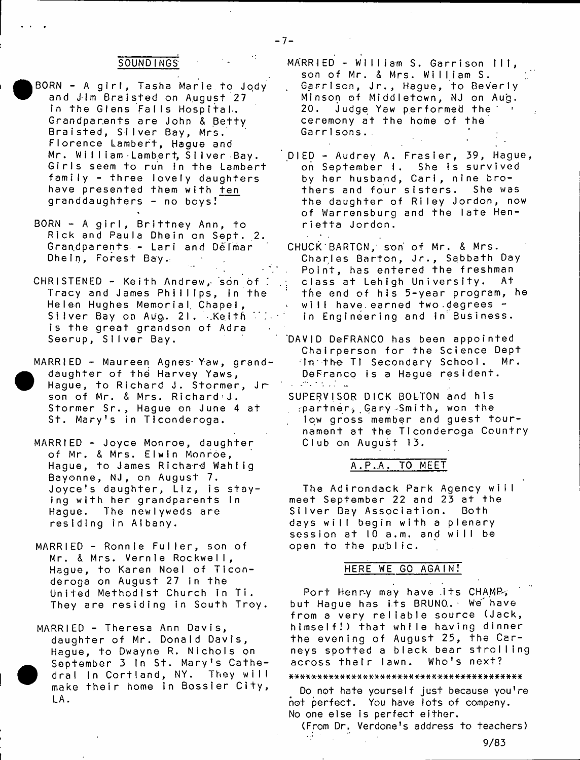## SOUNDINGS

- BORN A girl, Tasha Marie to Jody and Jim Braisted on August 27 in the Glens Falls Hospital. Grandparents are John & Betty Braisted, Silver Bay, Mrs. Florence Lambert, Hague and Mr. William Lambert, Silver Bay. Girls seem to run in the Lambert family - three lovely daughters have presented them w ith ten granddaughters - no boys!
- BORN A girl, Brittney Ann, to Rick and Paula Dhein on Sept. 2. Gran.dparents - Lari and Delmar Dhein, Forest Bay.
- CHRISTENED Keith Andrew, son of Tracy and James Phillips, in the Helen Hughes Memorial. Chapel, Silver Bay on Aug. 21. .Kelth is the great grandson of Adra Seerup, Silver Bay.
- MARRIED Maureen Agnes Yaw, granddaughter of the Harvey Yaws, Hague, to Richard J. Stormer, Jr son of Mr. & Mrs. Richard J. Stormer Sr., Hague on June 4 at St. Mary's in Ticonderoga.
- MARRIED Joyce Monroe, daughter of Mr. & Mrs. Elwin Monroe, Hague, to James Richard Wahlig Bayonne, NJ, on August 7. Joyce's daughter, Liz, is staying with her grandparents In Hague. The newlyweds are residing in Albany.
- MARRIED Ronnie Fuller, son of Mr. & Mrs. Vernie Rockwell, Hague, to Karen Noel of Ticonderoga on August 27 in the United Methodist Church in Ti. They are residing in South Troy.
- MARRIED Theresa Ann Davis, daughter of Mr. Donald Davis, Hague, to Dwayne R. Nichols on September 3 In St. Mary's Cathedral in Cortland, NY. They will make their home in Bossier City, LA.
- MARRIED William S. Garrison III, son of Mr. & Mrs. William S. Garrison, Jr., Hague, to Beverly Minson of Middletown, NJ on Aug. 20. Judge Yaw performed the ceremony at the home of the Garrisons.
- DIED Audrey A. Frasier, 39, Hague, on September I. She is survived by her husband, Cari, nine brothers and four sisters. She was the daughter of Riley Jordon, now of Warrensburg and the late Henrietta Jordon.
- CHUCK BARTON, son of Mr. & Mrs. Charles Barton, Jr., Sabbath Day Point, has entered the freshman class at Lehigh University. At the end of his 5-year program, he will have.earned two.degrees in Engineering and in Business.
- 'DAVID DeFRANCO has been appointed Chairperson for the Science Dept in the TI Secondary School. Mr. DeFranco is a Hague resident.  $\mathcal{L}^{\text{max}}$  , where  $\mathcal{L}^{\text{max}}$  ,  $\mathcal{L}^{\text{max}}$
- SUPERVISOR DICK BOLTON and his : p a r t n e r > . Ga r y • S m i t h , won t h e low gross member and guest tournament at the Ticonderoga Country Club on August 13.

## A.P..A. TO MEET

The Adirondack Park Agency will meet September 22 and 23 at the Silver Bay Association. Both days will begin with a plenary session at 10 a.m. and will be open to the  $p, p, b$  lic.

## HERE WE GO AGAIN!

Port Henry may have its CHAMP, but Hague has its BRUNO.. • We have from a very reliable source (Jack, himself!) that while having dinner the evening of August 25, the Carneys spotted a black bear strolling across thetr lawn. Who's next?

## 

Do not hate yourself just because you're not perfect. You have lots of company. No one else is perfect either.

(From Dr. Verdone's address to teachers)